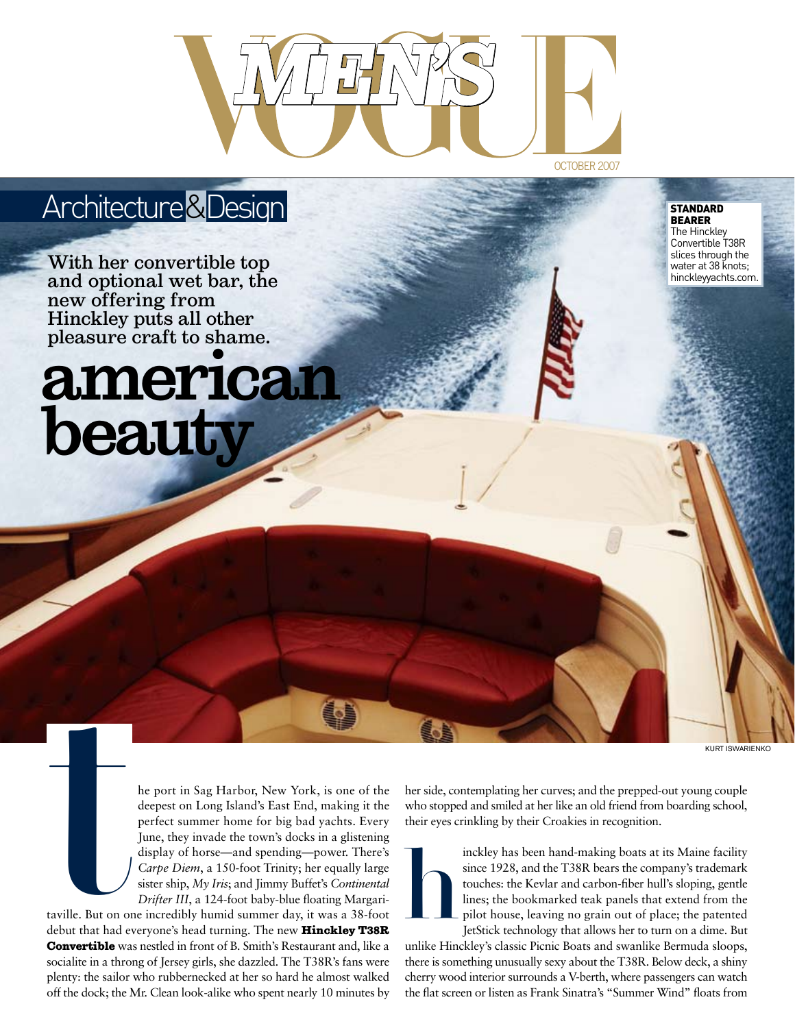

## Architecture&Design

With her convertible top and optional wet bar, the new offering from Hinckley puts all other pleasure craft to shame.

## **american beauty**

**STANDARD** bearer The Hinckley Convertible T38R slices through the water at 38 knots; hinckleyyachts.com.

he port in Sag Harbor, New York, is one of the deepest on Long Island's East End, making it the perfect summer home for big bad yachts. Every June, they invade the town's docks in a glistening display of horse—and spending—power. There's *Carpe Diem*, a 150-foot Trinity; her equally large sister ship, *My Iris*; and Jimmy Buffet's *Continental Drifter III*, a 124-foot baby-blue floating Margari-

aville. But on on<br>debut that had evaluated was<br>convertible was taville. But on one incredibly humid summer day, it was a 38-foot debut that had everyone's head turning. The new **Hinckley T38R** Convertible was nestled in front of B. Smith's Restaurant and, like a socialite in a throng of Jersey girls, she dazzled. The T38R's fans were plenty: the sailor who rubbernecked at her so hard he almost walked off the dock; the Mr. Clean look-alike who spent nearly 10 minutes by

her side, contemplating her curves; and the prepped-out young couple who stopped and smiled at her like an old friend from boarding school, their eyes crinkling by their Croakies in recognition.

inckley has been hand-making boats at its Maine facility since 1928, and the T38R bears the company's trademark touches: the Kevlar and carbon-fiber hull's sloping, gentle lines; the bookmarked teak panels that extend from the pilot house, leaving no grain out of place; the patented JetStick technology that allows her to turn on a dime. But  $\prod_{\text{unlike Hins}}$ 

unlike Hinckley's classic Picnic Boats and swanlike Bermuda sloops, there is something unusually sexy about the T38R. Below deck, a shiny cherry wood interior surrounds a V-berth, where passengers can watch the flat screen or listen as Frank Sinatra's "Summer Wind" floats from